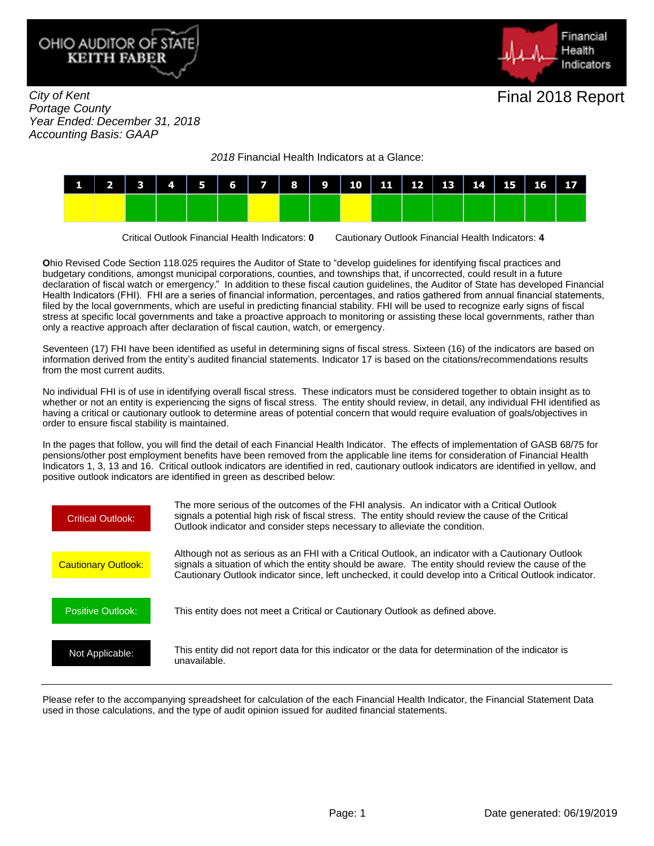



City of Kent Portage County Year Ended: December 31, 2018 Accounting Basis: GAAP

2018 Financial Health Indicators at a Glance:



Critical Outlook Financial Health Indicators: **0** Cautionary Outlook Financial Health Indicators: **4**

**O**hio Revised Code Section 118.025 requires the Auditor of State to "develop guidelines for identifying fiscal practices and budgetary conditions, amongst municipal corporations, counties, and townships that, if uncorrected, could result in a future declaration of fiscal watch or emergency." In addition to these fiscal caution guidelines, the Auditor of State has developed Financial Health Indicators (FHI). FHI are a series of financial information, percentages, and ratios gathered from annual financial statements, filed by the local governments, which are useful in predicting financial stability. FHI will be used to recognize early signs of fiscal stress at specific local governments and take a proactive approach to monitoring or assisting these local governments, rather than only a reactive approach after declaration of fiscal caution, watch, or emergency.

Seventeen (17) FHI have been identified as useful in determining signs of fiscal stress. Sixteen (16) of the indicators are based on information derived from the entity's audited financial statements. Indicator 17 is based on the citations/recommendations results from the most current audits.

No individual FHI is of use in identifying overall fiscal stress. These indicators must be considered together to obtain insight as to whether or not an entity is experiencing the signs of fiscal stress. The entity should review, in detail, any individual FHI identified as having a critical or cautionary outlook to determine areas of potential concern that would require evaluation of goals/objectives in order to ensure fiscal stability is maintained.

In the pages that follow, you will find the detail of each Financial Health Indicator. The effects of implementation of GASB 68/75 for pensions/other post employment benefits have been removed from the applicable line items for consideration of Financial Health Indicators 1, 3, 13 and 16. Critical outlook indicators are identified in red, cautionary outlook indicators are identified in yellow, and positive outlook indicators are identified in green as described below:



Please refer to the accompanying spreadsheet for calculation of the each Financial Health Indicator, the Financial Statement Data used in those calculations, and the type of audit opinion issued for audited financial statements.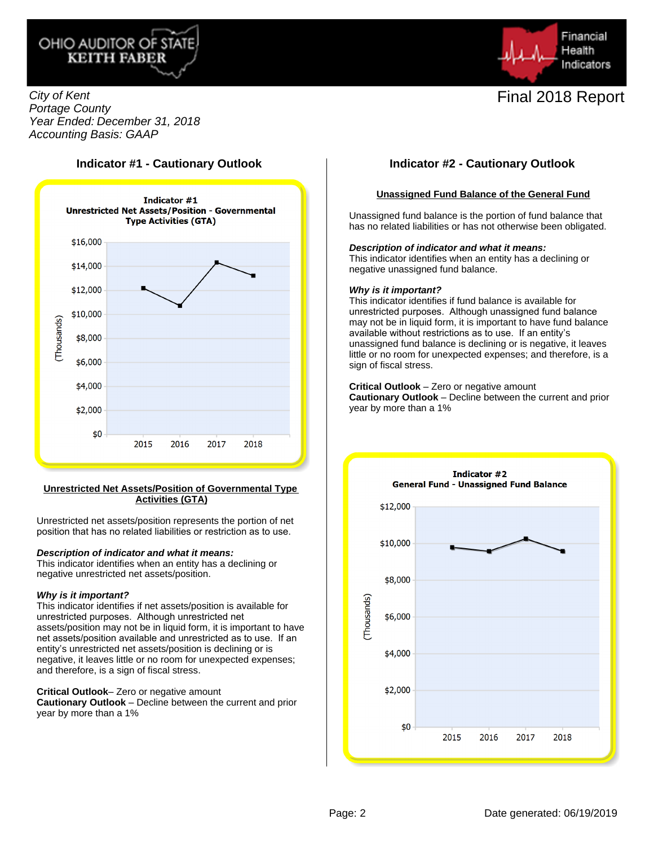



City of Kent Portage County Year Ended: December 31, 2018 Accounting Basis: GAAP

### **Indicator #1 - Cautionary Outlook Indicator #2 - Cautionary Outlook**



#### **Unrestricted Net Assets/Position of Governmental Type Activities (GTA)**

Unrestricted net assets/position represents the portion of net position that has no related liabilities or restriction as to use.

#### **Description of indicator and what it means:**

This indicator identifies when an entity has a declining or negative unrestricted net assets/position.

#### **Why is it important?**

This indicator identifies if net assets/position is available for unrestricted purposes. Although unrestricted net assets/position may not be in liquid form, it is important to have net assets/position available and unrestricted as to use. If an entity's unrestricted net assets/position is declining or is negative, it leaves little or no room for unexpected expenses; and therefore, is a sign of fiscal stress.

**Critical Outlook**– Zero or negative amount

**Cautionary Outlook** – Decline between the current and prior year by more than a 1%

#### **Unassigned Fund Balance of the General Fund**

Unassigned fund balance is the portion of fund balance that has no related liabilities or has not otherwise been obligated.

#### **Description of indicator and what it means:**

This indicator identifies when an entity has a declining or negative unassigned fund balance.

#### **Why is it important?**

This indicator identifies if fund balance is available for unrestricted purposes. Although unassigned fund balance may not be in liquid form, it is important to have fund balance available without restrictions as to use. If an entity's unassigned fund balance is declining or is negative, it leaves little or no room for unexpected expenses; and therefore, is a sign of fiscal stress.

#### **Critical Outlook** – Zero or negative amount

**Cautionary Outlook** – Decline between the current and prior year by more than a 1%

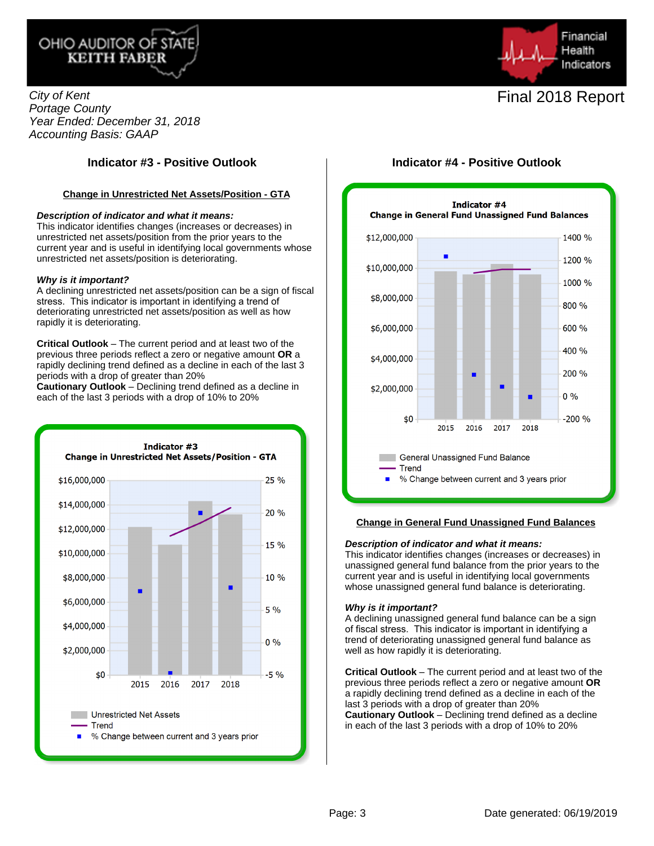



City of Kent Portage County Year Ended: December 31, 2018 Accounting Basis: GAAP

#### **Change in Unrestricted Net Assets/Position - GTA**

#### **Description of indicator and what it means:**

This indicator identifies changes (increases or decreases) in unrestricted net assets/position from the prior years to the current year and is useful in identifying local governments whose unrestricted net assets/position is deteriorating.

#### **Why is it important?**

A declining unrestricted net assets/position can be a sign of fiscal stress. This indicator is important in identifying a trend of deteriorating unrestricted net assets/position as well as how rapidly it is deteriorating.

**Critical Outlook** – The current period and at least two of the previous three periods reflect a zero or negative amount **OR** a rapidly declining trend defined as a decline in each of the last 3 periods with a drop of greater than 20%

**Cautionary Outlook** – Declining trend defined as a decline in each of the last 3 periods with a drop of 10% to 20%



#### **Indicator #3 - Positive Outlook Indicator #4 - Positive Outlook**



#### **Change in General Fund Unassigned Fund Balances**

#### **Description of indicator and what it means:**

This indicator identifies changes (increases or decreases) in unassigned general fund balance from the prior years to the current year and is useful in identifying local governments whose unassigned general fund balance is deteriorating.

#### **Why is it important?**

A declining unassigned general fund balance can be a sign of fiscal stress. This indicator is important in identifying a trend of deteriorating unassigned general fund balance as well as how rapidly it is deteriorating.

**Critical Outlook** – The current period and at least two of the previous three periods reflect a zero or negative amount **OR** a rapidly declining trend defined as a decline in each of the last 3 periods with a drop of greater than 20% **Cautionary Outlook** – Declining trend defined as a decline in each of the last 3 periods with a drop of 10% to 20%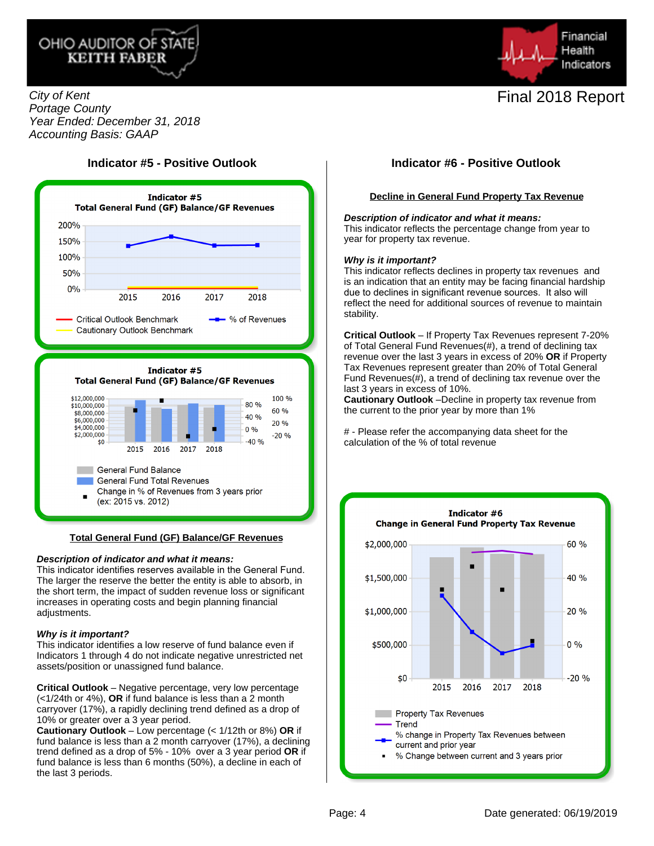



City of Kent Portage County Year Ended: December 31, 2018 Accounting Basis: GAAP

### **Indicator #5 - Positive Outlook Indicator #6 - Positive Outlook**



#### **Total General Fund (GF) Balance/GF Revenues**

#### **Description of indicator and what it means:**

This indicator identifies reserves available in the General Fund. The larger the reserve the better the entity is able to absorb, in the short term, the impact of sudden revenue loss or significant increases in operating costs and begin planning financial adjustments.

#### **Why is it important?**

This indicator identifies a low reserve of fund balance even if Indicators 1 through 4 do not indicate negative unrestricted net assets/position or unassigned fund balance.

**Critical Outlook** – Negative percentage, very low percentage (<1/24th or 4%), **OR** if fund balance is less than a 2 month carryover (17%), a rapidly declining trend defined as a drop of 10% or greater over a 3 year period.

**Cautionary Outlook** – Low percentage (< 1/12th or 8%) **OR** if fund balance is less than a 2 month carryover (17%), a declining trend defined as a drop of 5% - 10% over a 3 year period **OR** if fund balance is less than 6 months (50%), a decline in each of the last 3 periods.

#### **Decline in General Fund Property Tax Revenue**

#### **Description of indicator and what it means:**

This indicator reflects the percentage change from year to year for property tax revenue.

#### **Why is it important?**

This indicator reflects declines in property tax revenues and is an indication that an entity may be facing financial hardship due to declines in significant revenue sources. It also will reflect the need for additional sources of revenue to maintain stability.

**Critical Outlook** – If Property Tax Revenues represent 7-20% of Total General Fund Revenues(#), a trend of declining tax revenue over the last 3 years in excess of 20% **OR** if Property Tax Revenues represent greater than 20% of Total General Fund Revenues(#), a trend of declining tax revenue over the last 3 years in excess of 10%.

**Cautionary Outlook** –Decline in property tax revenue from the current to the prior year by more than 1%

# - Please refer the accompanying data sheet for the calculation of the % of total revenue

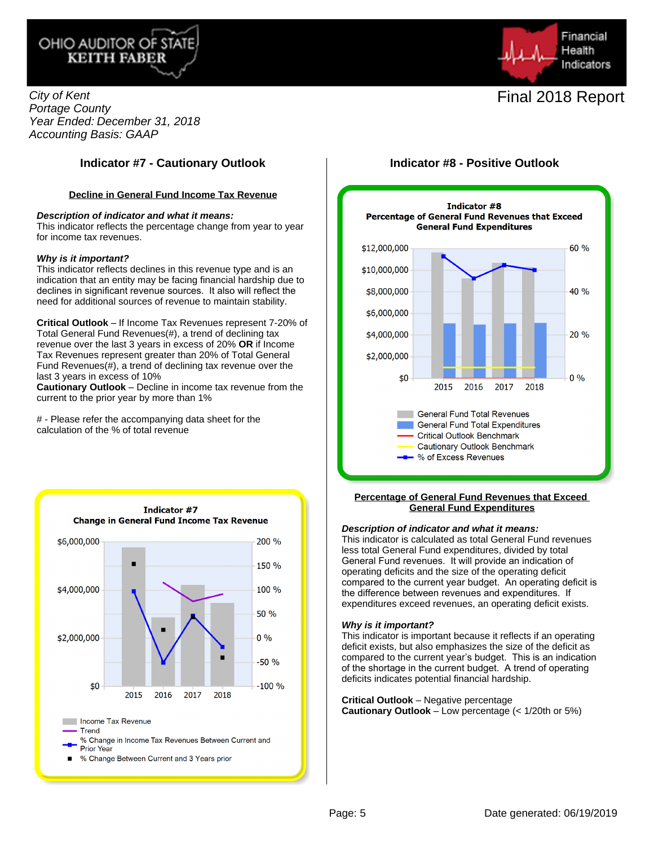



City of Kent Portage County Year Ended: December 31, 2018 Accounting Basis: GAAP

### **Indicator #7 - Cautionary Outlook Indicator #8 - Positive Outlook**

#### **Decline in General Fund Income Tax Revenue**

#### **Description of indicator and what it means:**

This indicator reflects the percentage change from year to year for income tax revenues.

#### **Why is it important?**

This indicator reflects declines in this revenue type and is an indication that an entity may be facing financial hardship due to declines in significant revenue sources. It also will reflect the need for additional sources of revenue to maintain stability.

**Critical Outlook** – If Income Tax Revenues represent 7-20% of Total General Fund Revenues(#), a trend of declining tax revenue over the last 3 years in excess of 20% **OR** if Income Tax Revenues represent greater than 20% of Total General Fund Revenues(#), a trend of declining tax revenue over the last 3 years in excess of 10%

**Cautionary Outlook** – Decline in income tax revenue from the current to the prior year by more than 1%

# - Please refer the accompanying data sheet for the calculation of the % of total revenue





#### **Percentage of General Fund Revenues that Exceed General Fund Expenditures**

#### **Description of indicator and what it means:**

This indicator is calculated as total General Fund revenues less total General Fund expenditures, divided by total General Fund revenues. It will provide an indication of operating deficits and the size of the operating deficit compared to the current year budget. An operating deficit is the difference between revenues and expenditures. If expenditures exceed revenues, an operating deficit exists.

#### **Why is it important?**

This indicator is important because it reflects if an operating deficit exists, but also emphasizes the size of the deficit as compared to the current year's budget. This is an indication of the shortage in the current budget. A trend of operating deficits indicates potential financial hardship.

**Critical Outlook** – Negative percentage **Cautionary Outlook** – Low percentage (< 1/20th or 5%)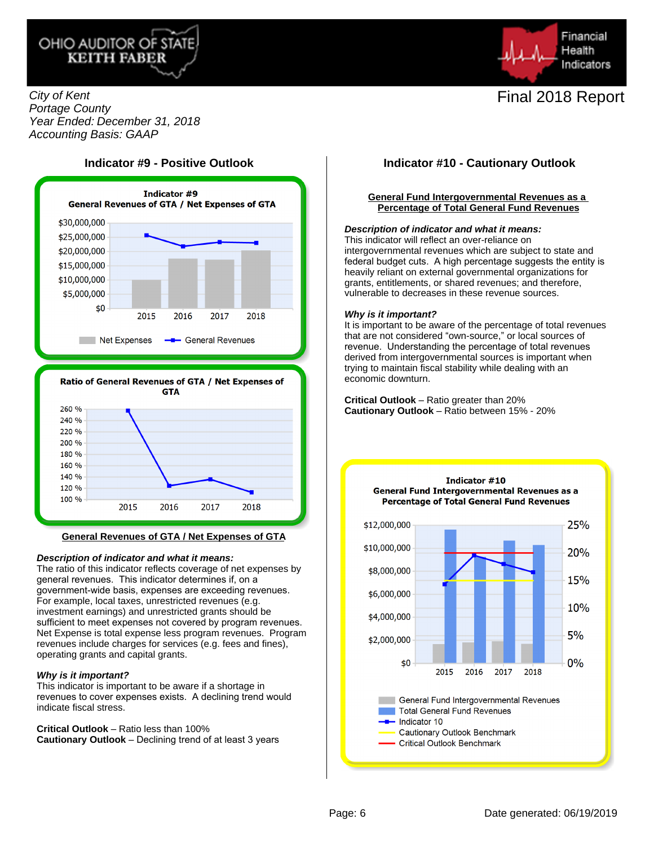



City of Kent Portage County Year Ended: December 31, 2018 Accounting Basis: GAAP





#### **General Revenues of GTA / Net Expenses of GTA**

#### **Description of indicator and what it means:**

The ratio of this indicator reflects coverage of net expenses by general revenues. This indicator determines if, on a government-wide basis, expenses are exceeding revenues. For example, local taxes, unrestricted revenues (e.g. investment earnings) and unrestricted grants should be sufficient to meet expenses not covered by program revenues. Net Expense is total expense less program revenues. Program revenues include charges for services (e.g. fees and fines), operating grants and capital grants.

#### **Why is it important?**

This indicator is important to be aware if a shortage in revenues to cover expenses exists. A declining trend would indicate fiscal stress.

**Critical Outlook** – Ratio less than 100% **Cautionary Outlook** – Declining trend of at least 3 years

### **Indicator #9 - Positive Outlook Indicator #10 - Cautionary Outlook**

#### **General Fund Intergovernmental Revenues as a Percentage of Total General Fund Revenues**

#### **Description of indicator and what it means:**

This indicator will reflect an over-reliance on intergovernmental revenues which are subject to state and federal budget cuts. A high percentage suggests the entity is heavily reliant on external governmental organizations for grants, entitlements, or shared revenues; and therefore, vulnerable to decreases in these revenue sources.

#### **Why is it important?**

It is important to be aware of the percentage of total revenues that are not considered "own-source," or local sources of revenue. Understanding the percentage of total revenues derived from intergovernmental sources is important when trying to maintain fiscal stability while dealing with an economic downturn.

**Critical Outlook** – Ratio greater than 20% **Cautionary Outlook** – Ratio between 15% - 20%

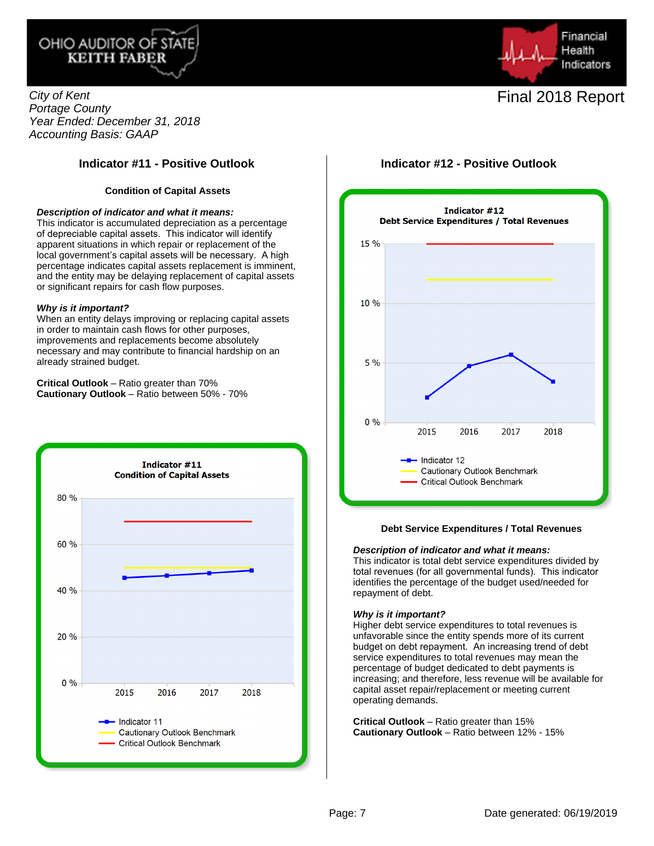



City of Kent Portage County Year Ended: December 31, 2018 Accounting Basis: GAAP

### **Indicator #11 - Positive Outlook Indicator #12 - Positive Outlook**

#### **Condition of Capital Assets**

#### **Description of indicator and what it means:**

This indicator is accumulated depreciation as a percentage of depreciable capital assets. This indicator will identify apparent situations in which repair or replacement of the local government's capital assets will be necessary. A high percentage indicates capital assets replacement is imminent, and the entity may be delaying replacement of capital assets or significant repairs for cash flow purposes.

#### **Why is it important?**

When an entity delays improving or replacing capital assets in order to maintain cash flows for other purposes, improvements and replacements become absolutely necessary and may contribute to financial hardship on an already strained budget.

**Critical Outlook** – Ratio greater than 70% **Cautionary Outlook** – Ratio between 50% - 70%





#### **Debt Service Expenditures / Total Revenues**

#### **Description of indicator and what it means:**

This indicator is total debt service expenditures divided by total revenues (for all governmental funds). This indicator identifies the percentage of the budget used/needed for repayment of debt.

#### **Why is it important?**

Higher debt service expenditures to total revenues is unfavorable since the entity spends more of its current budget on debt repayment. An increasing trend of debt service expenditures to total revenues may mean the percentage of budget dedicated to debt payments is increasing; and therefore, less revenue will be available for capital asset repair/replacement or meeting current operating demands.

**Critical Outlook** – Ratio greater than 15% **Cautionary Outlook** – Ratio between 12% - 15%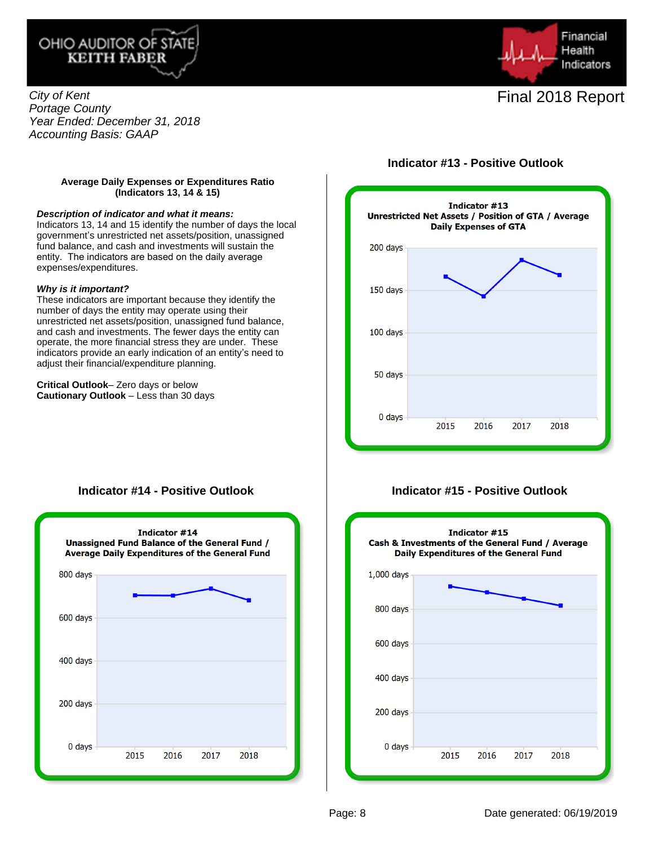



City of Kent Portage County Year Ended: December 31, 2018 Accounting Basis: GAAP

#### **Average Daily Expenses or Expenditures Ratio (Indicators 13, 14 & 15)**

#### **Description of indicator and what it means:**

Indicators 13, 14 and 15 identify the number of days the local government's unrestricted net assets/position, unassigned fund balance, and cash and investments will sustain the entity. The indicators are based on the daily average expenses/expenditures.

#### **Why is it important?**

These indicators are important because they identify the number of days the entity may operate using their unrestricted net assets/position, unassigned fund balance, and cash and investments. The fewer days the entity can operate, the more financial stress they are under. These indicators provide an early indication of an entity's need to adjust their financial/expenditure planning.

**Critical Outlook**– Zero days or below **Cautionary Outlook** – Less than 30 days





### **Indicator #14 - Positive Outlook**



### **Indicator #15 - Positive Outlook**

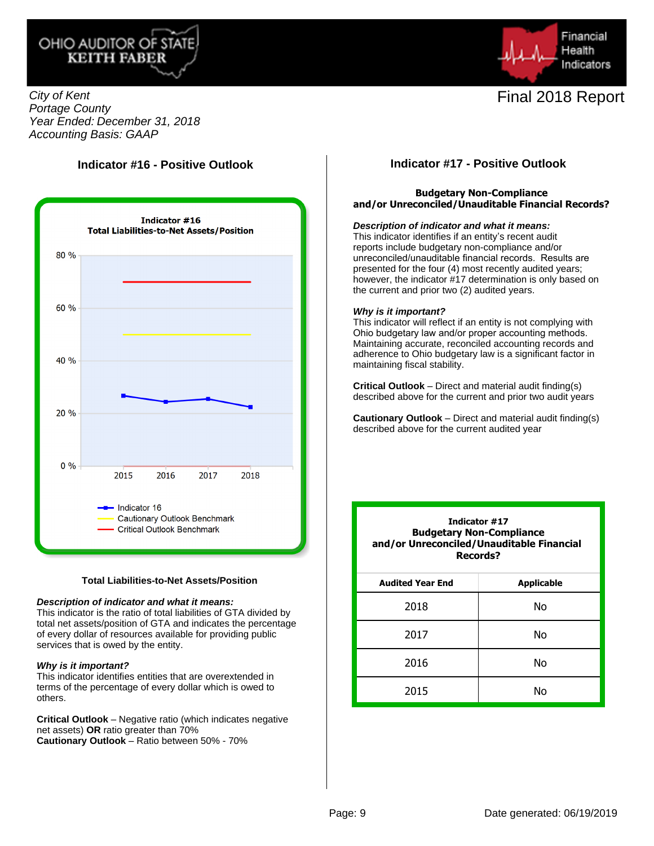



City of Kent Portage County Year Ended: December 31, 2018 Accounting Basis: GAAP

### **Indicator #16 - Positive Outlook**



#### **Total Liabilities-to-Net Assets/Position**

#### **Description of indicator and what it means:**

This indicator is the ratio of total liabilities of GTA divided by total net assets/position of GTA and indicates the percentage of every dollar of resources available for providing public services that is owed by the entity.

#### **Why is it important?**

This indicator identifies entities that are overextended in terms of the percentage of every dollar which is owed to others.

**Critical Outlook** – Negative ratio (which indicates negative net assets) **OR** ratio greater than 70% **Cautionary Outlook** – Ratio between 50% - 70%

#### **Indicator #17 - Positive Outlook**

#### **Budgetary Non-Compliance and/or Unreconciled/Unauditable Financial Records?**

#### **Description of indicator and what it means:**

This indicator identifies if an entity's recent audit reports include budgetary non-compliance and/or unreconciled/unauditable financial records. Results are presented for the four (4) most recently audited years; however, the indicator #17 determination is only based on the current and prior two (2) audited years.

#### **Why is it important?**

This indicator will reflect if an entity is not complying with Ohio budgetary law and/or proper accounting methods. Maintaining accurate, reconciled accounting records and adherence to Ohio budgetary law is a significant factor in maintaining fiscal stability.

**Critical Outlook** – Direct and material audit finding(s) described above for the current and prior two audit years

**Cautionary Outlook** – Direct and material audit finding(s) described above for the current audited year

| Indicator #17<br><b>Budgetary Non-Compliance</b><br>and/or Unreconciled/Unauditable Financial<br>Records? |                   |
|-----------------------------------------------------------------------------------------------------------|-------------------|
| <b>Audited Year End</b>                                                                                   | <b>Applicable</b> |
| 2018                                                                                                      | No                |
| 2017                                                                                                      | Nο                |
| 2016                                                                                                      | Nο                |
| 2015                                                                                                      | N٥                |